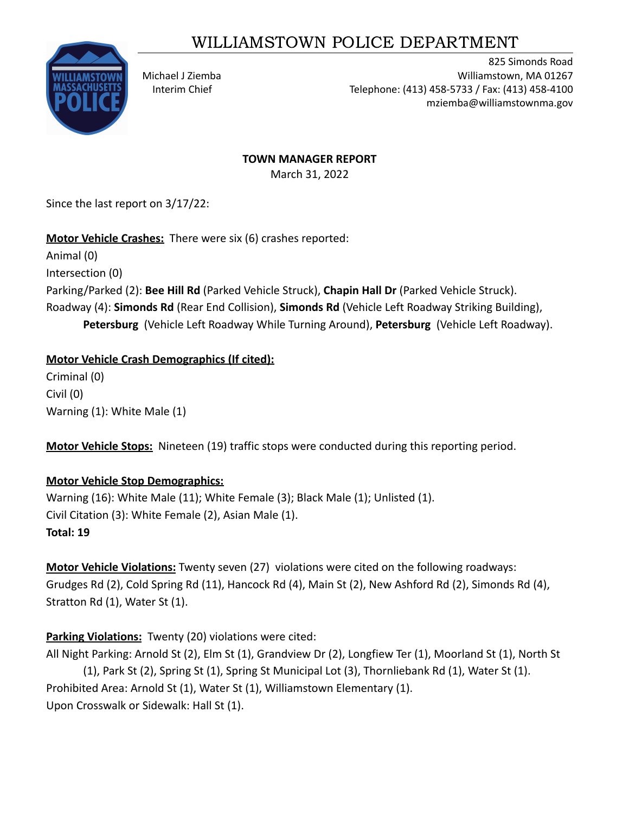# WILLIAMSTOWN POLICE DEPARTMENT



825 Simonds Road Michael J Ziemba Williamstown, MA 01267 Interim Chief Telephone: (413) 458-5733 / Fax: (413) 458-4100 mziemba@williamstownma.gov

### **TOWN MANAGER REPORT**

March 31, 2022

Since the last report on 3/17/22:

**Motor Vehicle Crashes:** There were six (6) crashes reported:

Animal (0) Intersection (0) Parking/Parked (2): **Bee Hill Rd** (Parked Vehicle Struck), **Chapin Hall Dr** (Parked Vehicle Struck). Roadway (4): **Simonds Rd** (Rear End Collision), **Simonds Rd** (Vehicle Left Roadway Striking Building), **Petersburg** (Vehicle Left Roadway While Turning Around), **Petersburg** (Vehicle Left Roadway).

### **Motor Vehicle Crash Demographics (If cited):**

Criminal (0) Civil (0) Warning (1): White Male (1)

**Motor Vehicle Stops:** Nineteen (19) traffic stops were conducted during this reporting period.

## **Motor Vehicle Stop Demographics:**

Warning (16): White Male (11); White Female (3); Black Male (1); Unlisted (1). Civil Citation (3): White Female (2), Asian Male (1). **Total: 19**

**Motor Vehicle Violations:** Twenty seven (27) violations were cited on the following roadways: Grudges Rd (2), Cold Spring Rd (11), Hancock Rd (4), Main St (2), New Ashford Rd (2), Simonds Rd (4), Stratton Rd (1), Water St (1).

## **Parking Violations:** Twenty (20) violations were cited:

All Night Parking: Arnold St (2), Elm St (1), Grandview Dr (2), Longfiew Ter (1), Moorland St (1), North St (1), Park St (2), Spring St (1), Spring St Municipal Lot (3), Thornliebank Rd (1), Water St (1). Prohibited Area: Arnold St (1), Water St (1), Williamstown Elementary (1).

Upon Crosswalk or Sidewalk: Hall St (1).